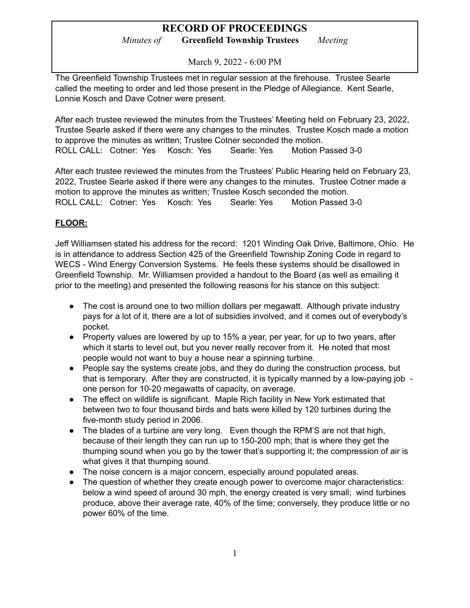*Minutes of* **Greenfield Township Trustees** *Meeting*

March 9, 2022 - 6:00 PM

The Greenfield Township Trustees met in regular session at the firehouse. Trustee Searle called the meeting to order and led those present in the Pledge of Allegiance. Kent Searle, Lonnie Kosch and Dave Cotner were present.

After each trustee reviewed the minutes from the Trustees' Meeting held on February 23, 2022, Trustee Searle asked if there were any changes to the minutes. Trustee Kosch made a motion to approve the minutes as written; Trustee Cotner seconded the motion. ROLL CALL: Cotner: Yes Kosch: Yes Searle: Yes Motion Passed 3-0

After each trustee reviewed the minutes from the Trustees' Public Hearing held on February 23, 2022, Trustee Searle asked if there were any changes to the minutes. Trustee Cotner made a motion to approve the minutes as written; Trustee Kosch seconded the motion. ROLL CALL: Cotner: Yes Kosch: Yes Searle: Yes Motion Passed 3-0

### **FLOOR:**

Jeff Williamsen stated his address for the record: 1201 Winding Oak Drive, Baltimore, Ohio. He is in attendance to address Section 425 of the Greenfield Township Zoning Code in regard to WECS - Wind Energy Conversion Systems. He feels these systems should be disallowed in Greenfield Township. Mr. Williamsen provided a handout to the Board (as well as emailing it prior to the meeting) and presented the following reasons for his stance on this subject:

- The cost is around one to two million dollars per megawatt. Although private industry pays for a lot of it, there are a lot of subsidies involved, and it comes out of everybody's pocket.
- Property values are lowered by up to 15% a year, per year, for up to two years, after which it starts to level out, but you never really recover from it. He noted that most people would not want to buy a house near a spinning turbine.
- People say the systems create jobs, and they do during the construction process, but that is temporary. After they are constructed, it is typically manned by a low-paying job one person for 10-20 megawatts of capacity, on average.
- The effect on wildlife is significant. Maple Rich facility in New York estimated that between two to four thousand birds and bats were killed by 120 turbines during the five-month study period in 2006.
- The blades of a turbine are very long. Even though the RPM'S are not that high, because of their length they can run up to 150-200 mph; that is where they get the thumping sound when you go by the tower that's supporting it; the compression of air is what gives it that thumping sound.
- The noise concern is a major concern, especially around populated areas.
- The question of whether they create enough power to overcome major characteristics: below a wind speed of around 30 mph, the energy created is very small; wind turbines produce, above their average rate, 40% of the time; conversely, they produce little or no power 60% of the time.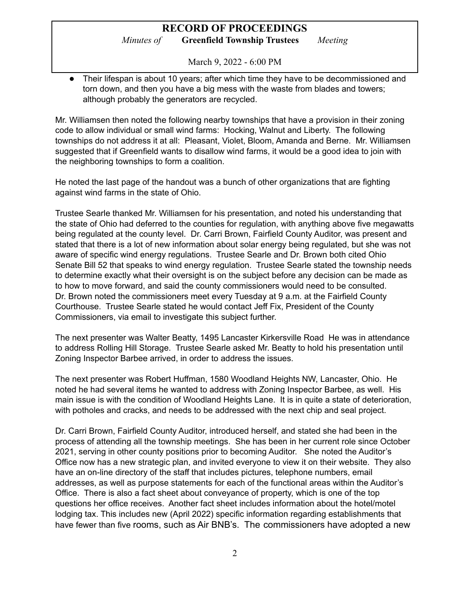*Minutes of* **Greenfield Township Trustees** *Meeting*

March 9, 2022 - 6:00 PM

• Their lifespan is about 10 years; after which time they have to be decommissioned and torn down, and then you have a big mess with the waste from blades and towers; although probably the generators are recycled.

Mr. Williamsen then noted the following nearby townships that have a provision in their zoning code to allow individual or small wind farms: Hocking, Walnut and Liberty. The following townships do not address it at all: Pleasant, Violet, Bloom, Amanda and Berne. Mr. Williamsen suggested that if Greenfield wants to disallow wind farms, it would be a good idea to join with the neighboring townships to form a coalition.

He noted the last page of the handout was a bunch of other organizations that are fighting against wind farms in the state of Ohio.

Trustee Searle thanked Mr. Williamsen for his presentation, and noted his understanding that the state of Ohio had deferred to the counties for regulation, with anything above five megawatts being regulated at the county level. Dr. Carri Brown, Fairfield County Auditor, was present and stated that there is a lot of new information about solar energy being regulated, but she was not aware of specific wind energy regulations. Trustee Searle and Dr. Brown both cited Ohio Senate Bill 52 that speaks to wind energy regulation. Trustee Searle stated the township needs to determine exactly what their oversight is on the subject before any decision can be made as to how to move forward, and said the county commissioners would need to be consulted. Dr. Brown noted the commissioners meet every Tuesday at 9 a.m. at the Fairfield County Courthouse. Trustee Searle stated he would contact Jeff Fix, President of the County Commissioners, via email to investigate this subject further.

The next presenter was Walter Beatty, 1495 Lancaster Kirkersville Road He was in attendance to address Rolling Hill Storage. Trustee Searle asked Mr. Beatty to hold his presentation until Zoning Inspector Barbee arrived, in order to address the issues.

The next presenter was Robert Huffman, 1580 Woodland Heights NW, Lancaster, Ohio. He noted he had several items he wanted to address with Zoning Inspector Barbee, as well. His main issue is with the condition of Woodland Heights Lane. It is in quite a state of deterioration, with potholes and cracks, and needs to be addressed with the next chip and seal project.

Dr. Carri Brown, Fairfield County Auditor, introduced herself, and stated she had been in the process of attending all the township meetings. She has been in her current role since October 2021, serving in other county positions prior to becoming Auditor. She noted the Auditor's Office now has a new strategic plan, and invited everyone to view it on their website. They also have an on-line directory of the staff that includes pictures, telephone numbers, email addresses, as well as purpose statements for each of the functional areas within the Auditor's Office. There is also a fact sheet about conveyance of property, which is one of the top questions her office receives. Another fact sheet includes information about the hotel/motel lodging tax. This includes new (April 2022) specific information regarding establishments that have fewer than five rooms, such as Air BNB's. The commissioners have adopted a new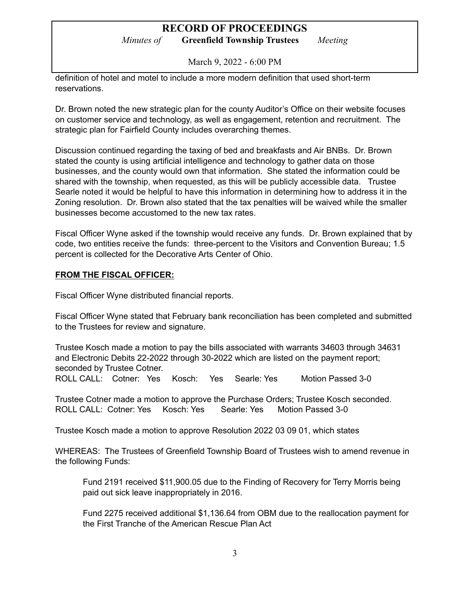*Minutes of* **Greenfield Township Trustees** *Meeting*

March 9, 2022 - 6:00 PM

definition of hotel and motel to include a more modern definition that used short-term reservations.

Dr. Brown noted the new strategic plan for the county Auditor's Office on their website focuses on customer service and technology, as well as engagement, retention and recruitment. The strategic plan for Fairfield County includes overarching themes.

Discussion continued regarding the taxing of bed and breakfasts and Air BNBs. Dr. Brown stated the county is using artificial intelligence and technology to gather data on those businesses, and the county would own that information. She stated the information could be shared with the township, when requested, as this will be publicly accessible data. Trustee Searle noted it would be helpful to have this information in determining how to address it in the Zoning resolution. Dr. Brown also stated that the tax penalties will be waived while the smaller businesses become accustomed to the new tax rates.

Fiscal Officer Wyne asked if the township would receive any funds. Dr. Brown explained that by code, two entities receive the funds: three-percent to the Visitors and Convention Bureau; 1.5 percent is collected for the Decorative Arts Center of Ohio.

#### **FROM THE FISCAL OFFICER:**

Fiscal Officer Wyne distributed financial reports.

Fiscal Officer Wyne stated that February bank reconciliation has been completed and submitted to the Trustees for review and signature.

Trustee Kosch made a motion to pay the bills associated with warrants 34603 through 34631 and Electronic Debits 22-2022 through 30-2022 which are listed on the payment report; seconded by Trustee Cotner.

ROLL CALL: Cotner: Yes Kosch: Yes Searle: Yes Motion Passed 3-0

Trustee Cotner made a motion to approve the Purchase Orders; Trustee Kosch seconded. ROLL CALL: Cotner: Yes Kosch: Yes Searle: Yes Motion Passed 3-0

Trustee Kosch made a motion to approve Resolution 2022 03 09 01, which states

WHEREAS: The Trustees of Greenfield Township Board of Trustees wish to amend revenue in the following Funds:

Fund 2191 received \$11,900.05 due to the Finding of Recovery for Terry Morris being paid out sick leave inappropriately in 2016.

Fund 2275 received additional \$1,136.64 from OBM due to the reallocation payment for the First Tranche of the American Rescue Plan Act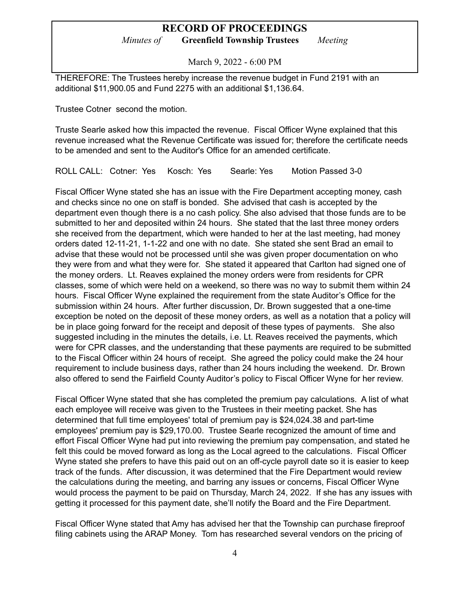*Minutes of* **Greenfield Township Trustees** *Meeting*

March 9, 2022 - 6:00 PM

THEREFORE: The Trustees hereby increase the revenue budget in Fund 2191 with an additional \$11,900.05 and Fund 2275 with an additional \$1,136.64.

Trustee Cotner second the motion.

Truste Searle asked how this impacted the revenue. Fiscal Officer Wyne explained that this revenue increased what the Revenue Certificate was issued for; therefore the certificate needs to be amended and sent to the Auditor's Office for an amended certificate.

ROLL CALL: Cotner: Yes Kosch: Yes Searle: Yes Motion Passed 3-0

Fiscal Officer Wyne stated she has an issue with the Fire Department accepting money, cash and checks since no one on staff is bonded. She advised that cash is accepted by the department even though there is a no cash policy. She also advised that those funds are to be submitted to her and deposited within 24 hours. She stated that the last three money orders she received from the department, which were handed to her at the last meeting, had money orders dated 12-11-21, 1-1-22 and one with no date. She stated she sent Brad an email to advise that these would not be processed until she was given proper documentation on who they were from and what they were for. She stated it appeared that Carlton had signed one of the money orders. Lt. Reaves explained the money orders were from residents for CPR classes, some of which were held on a weekend, so there was no way to submit them within 24 hours. Fiscal Officer Wyne explained the requirement from the state Auditor's Office for the submission within 24 hours. After further discussion, Dr. Brown suggested that a one-time exception be noted on the deposit of these money orders, as well as a notation that a policy will be in place going forward for the receipt and deposit of these types of payments. She also suggested including in the minutes the details, i.e. Lt. Reaves received the payments, which were for CPR classes, and the understanding that these payments are required to be submitted to the Fiscal Officer within 24 hours of receipt. She agreed the policy could make the 24 hour requirement to include business days, rather than 24 hours including the weekend. Dr. Brown also offered to send the Fairfield County Auditor's policy to Fiscal Officer Wyne for her review.

Fiscal Officer Wyne stated that she has completed the premium pay calculations. A list of what each employee will receive was given to the Trustees in their meeting packet. She has determined that full time employees' total of premium pay is \$24,024.38 and part-time employees' premium pay is \$29,170.00. Trustee Searle recognized the amount of time and effort Fiscal Officer Wyne had put into reviewing the premium pay compensation, and stated he felt this could be moved forward as long as the Local agreed to the calculations. Fiscal Officer Wyne stated she prefers to have this paid out on an off-cycle payroll date so it is easier to keep track of the funds. After discussion, it was determined that the Fire Department would review the calculations during the meeting, and barring any issues or concerns, Fiscal Officer Wyne would process the payment to be paid on Thursday, March 24, 2022. If she has any issues with getting it processed for this payment date, she'll notify the Board and the Fire Department.

Fiscal Officer Wyne stated that Amy has advised her that the Township can purchase fireproof filing cabinets using the ARAP Money. Tom has researched several vendors on the pricing of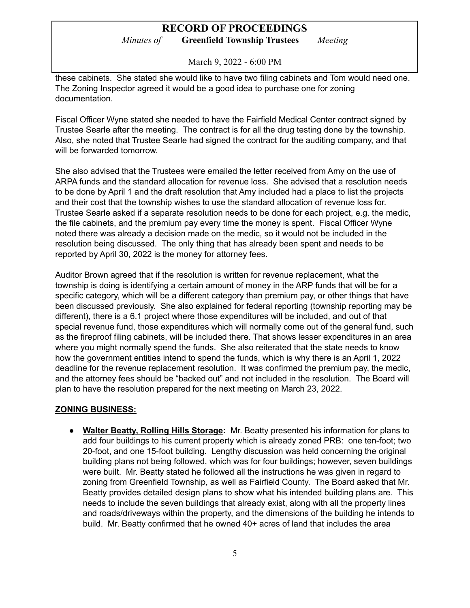*Minutes of* **Greenfield Township Trustees** *Meeting*

March 9, 2022 - 6:00 PM

these cabinets. She stated she would like to have two filing cabinets and Tom would need one. The Zoning Inspector agreed it would be a good idea to purchase one for zoning documentation.

Fiscal Officer Wyne stated she needed to have the Fairfield Medical Center contract signed by Trustee Searle after the meeting. The contract is for all the drug testing done by the township. Also, she noted that Trustee Searle had signed the contract for the auditing company, and that will be forwarded tomorrow.

She also advised that the Trustees were emailed the letter received from Amy on the use of ARPA funds and the standard allocation for revenue loss. She advised that a resolution needs to be done by April 1 and the draft resolution that Amy included had a place to list the projects and their cost that the township wishes to use the standard allocation of revenue loss for. Trustee Searle asked if a separate resolution needs to be done for each project, e.g. the medic, the file cabinets, and the premium pay every time the money is spent. Fiscal Officer Wyne noted there was already a decision made on the medic, so it would not be included in the resolution being discussed. The only thing that has already been spent and needs to be reported by April 30, 2022 is the money for attorney fees.

Auditor Brown agreed that if the resolution is written for revenue replacement, what the township is doing is identifying a certain amount of money in the ARP funds that will be for a specific category, which will be a different category than premium pay, or other things that have been discussed previously. She also explained for federal reporting (township reporting may be different), there is a 6.1 project where those expenditures will be included, and out of that special revenue fund, those expenditures which will normally come out of the general fund, such as the fireproof filing cabinets, will be included there. That shows lesser expenditures in an area where you might normally spend the funds. She also reiterated that the state needs to know how the government entities intend to spend the funds, which is why there is an April 1, 2022 deadline for the revenue replacement resolution. It was confirmed the premium pay, the medic, and the attorney fees should be "backed out" and not included in the resolution. The Board will plan to have the resolution prepared for the next meeting on March 23, 2022.

#### **ZONING BUSINESS:**

● **Walter Beatty, Rolling Hills Storage:** Mr. Beatty presented his information for plans to add four buildings to his current property which is already zoned PRB: one ten-foot; two 20-foot, and one 15-foot building. Lengthy discussion was held concerning the original building plans not being followed, which was for four buildings; however, seven buildings were built. Mr. Beatty stated he followed all the instructions he was given in regard to zoning from Greenfield Township, as well as Fairfield County. The Board asked that Mr. Beatty provides detailed design plans to show what his intended building plans are. This needs to include the seven buildings that already exist, along with all the property lines and roads/driveways within the property, and the dimensions of the building he intends to build. Mr. Beatty confirmed that he owned 40+ acres of land that includes the area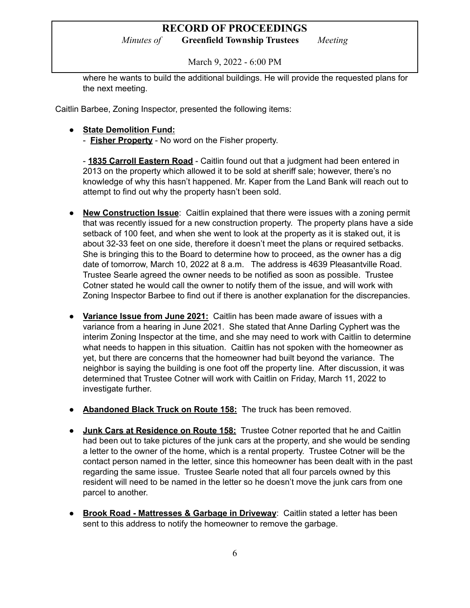*Minutes of* **Greenfield Township Trustees** *Meeting*

March 9, 2022 - 6:00 PM

where he wants to build the additional buildings. He will provide the requested plans for the next meeting.

Caitlin Barbee, Zoning Inspector, presented the following items:

- **● State Demolition Fund:**
	- **Fisher Property** No word on the Fisher property.

- **1835 Carroll Eastern Road** - Caitlin found out that a judgment had been entered in 2013 on the property which allowed it to be sold at sheriff sale; however, there's no knowledge of why this hasn't happened. Mr. Kaper from the Land Bank will reach out to attempt to find out why the property hasn't been sold.

- **New Construction Issue**: Caitlin explained that there were issues with a zoning permit that was recently issued for a new construction property. The property plans have a side setback of 100 feet, and when she went to look at the property as it is staked out, it is about 32-33 feet on one side, therefore it doesn't meet the plans or required setbacks. She is bringing this to the Board to determine how to proceed, as the owner has a dig date of tomorrow, March 10, 2022 at 8 a.m. The address is 4639 Pleasantville Road. Trustee Searle agreed the owner needs to be notified as soon as possible. Trustee Cotner stated he would call the owner to notify them of the issue, and will work with Zoning Inspector Barbee to find out if there is another explanation for the discrepancies.
- **● Variance Issue from June 2021:** Caitlin has been made aware of issues with a variance from a hearing in June 2021. She stated that Anne Darling Cyphert was the interim Zoning Inspector at the time, and she may need to work with Caitlin to determine what needs to happen in this situation. Caitlin has not spoken with the homeowner as yet, but there are concerns that the homeowner had built beyond the variance. The neighbor is saying the building is one foot off the property line. After discussion, it was determined that Trustee Cotner will work with Caitlin on Friday, March 11, 2022 to investigate further.
- **Abandoned Black Truck on Route 158:** The truck has been removed.
- **● Junk Cars at Residence on Route 158:** Trustee Cotner reported that he and Caitlin had been out to take pictures of the junk cars at the property, and she would be sending a letter to the owner of the home, which is a rental property. Trustee Cotner will be the contact person named in the letter, since this homeowner has been dealt with in the past regarding the same issue. Trustee Searle noted that all four parcels owned by this resident will need to be named in the letter so he doesn't move the junk cars from one parcel to another.
- **Brook Road - Mattresses & Garbage in Driveway**: Caitlin stated a letter has been sent to this address to notify the homeowner to remove the garbage.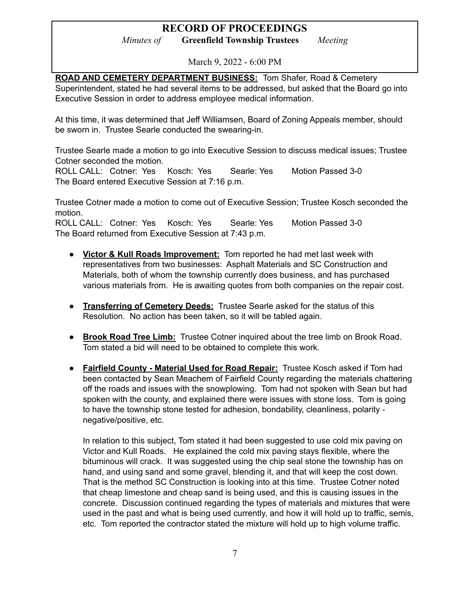*Minutes of* **Greenfield Township Trustees** *Meeting*

March 9, 2022 - 6:00 PM

**ROAD AND CEMETERY DEPARTMENT BUSINESS:** Tom Shafer, Road & Cemetery Superintendent, stated he had several items to be addressed, but asked that the Board go into Executive Session in order to address employee medical information.

At this time, it was determined that Jeff Williamsen, Board of Zoning Appeals member, should be sworn in. Trustee Searle conducted the swearing-in.

Trustee Searle made a motion to go into Executive Session to discuss medical issues; Trustee Cotner seconded the motion.

ROLL CALL: Cotner: Yes Kosch: Yes Searle: Yes Motion Passed 3-0 The Board entered Executive Session at 7:16 p.m.

Trustee Cotner made a motion to come out of Executive Session; Trustee Kosch seconded the motion.

ROLL CALL: Cotner: Yes Kosch: Yes Searle: Yes Motion Passed 3-0 The Board returned from Executive Session at 7:43 p.m.

- **● Victor & Kull Roads Improvement:** Tom reported he had met last week with representatives from two businesses: Asphalt Materials and SC Construction and Materials, both of whom the township currently does business, and has purchased various materials from. He is awaiting quotes from both companies on the repair cost.
- **● Transferring of Cemetery Deeds:** Trustee Searle asked for the status of this Resolution. No action has been taken, so it will be tabled again.
- **● Brook Road Tree Limb:** Trustee Cotner inquired about the tree limb on Brook Road. Tom stated a bid will need to be obtained to complete this work.
- **● Fairfield County - Material Used for Road Repair:** Trustee Kosch asked if Tom had been contacted by Sean Meachem of Fairfield County regarding the materials chattering off the roads and issues with the snowplowing. Tom had not spoken with Sean but had spoken with the county, and explained there were issues with stone loss. Tom is going to have the township stone tested for adhesion, bondability, cleanliness, polarity negative/positive, etc.

In relation to this subject, Tom stated it had been suggested to use cold mix paving on Victor and Kull Roads. He explained the cold mix paving stays flexible, where the bituminous will crack. It was suggested using the chip seal stone the township has on hand, and using sand and some gravel, blending it, and that will keep the cost down. That is the method SC Construction is looking into at this time. Trustee Cotner noted that cheap limestone and cheap sand is being used, and this is causing issues in the concrete. Discussion continued regarding the types of materials and mixtures that were used in the past and what is being used currently, and how it will hold up to traffic, semis, etc. Tom reported the contractor stated the mixture will hold up to high volume traffic.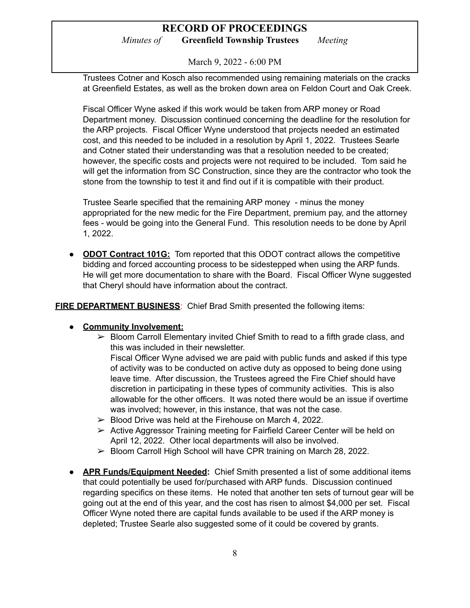### **RECORD OF PROCEEDINGS** *Minutes of* **Greenfield Township Trustees** *Meeting*

March 9, 2022 - 6:00 PM

Trustees Cotner and Kosch also recommended using remaining materials on the cracks at Greenfield Estates, as well as the broken down area on Feldon Court and Oak Creek.

Fiscal Officer Wyne asked if this work would be taken from ARP money or Road Department money. Discussion continued concerning the deadline for the resolution for the ARP projects. Fiscal Officer Wyne understood that projects needed an estimated cost, and this needed to be included in a resolution by April 1, 2022. Trustees Searle and Cotner stated their understanding was that a resolution needed to be created; however, the specific costs and projects were not required to be included. Tom said he will get the information from SC Construction, since they are the contractor who took the stone from the township to test it and find out if it is compatible with their product.

Trustee Searle specified that the remaining ARP money - minus the money appropriated for the new medic for the Fire Department, premium pay, and the attorney fees - would be going into the General Fund. This resolution needs to be done by April 1, 2022.

**● ODOT Contract 101G:** Tom reported that this ODOT contract allows the competitive bidding and forced accounting process to be sidestepped when using the ARP funds. He will get more documentation to share with the Board. Fiscal Officer Wyne suggested that Cheryl should have information about the contract.

**FIRE DEPARTMENT BUSINESS**: Chief Brad Smith presented the following items:

#### **● Community Involvement:**

 $\triangleright$  Bloom Carroll Elementary invited Chief Smith to read to a fifth grade class, and this was included in their newsletter.

Fiscal Officer Wyne advised we are paid with public funds and asked if this type of activity was to be conducted on active duty as opposed to being done using leave time. After discussion, the Trustees agreed the Fire Chief should have discretion in participating in these types of community activities. This is also allowable for the other officers. It was noted there would be an issue if overtime was involved; however, in this instance, that was not the case.

- $\triangleright$  Blood Drive was held at the Firehouse on March 4, 2022.
- $\triangleright$  Active Aggressor Training meeting for Fairfield Career Center will be held on April 12, 2022. Other local departments will also be involved.
- ➢ Bloom Carroll High School will have CPR training on March 28, 2022.
- **● APR Funds/Equipment Needed:** Chief Smith presented a list of some additional items that could potentially be used for/purchased with ARP funds. Discussion continued regarding specifics on these items. He noted that another ten sets of turnout gear will be going out at the end of this year, and the cost has risen to almost \$4,000 per set. Fiscal Officer Wyne noted there are capital funds available to be used if the ARP money is depleted; Trustee Searle also suggested some of it could be covered by grants.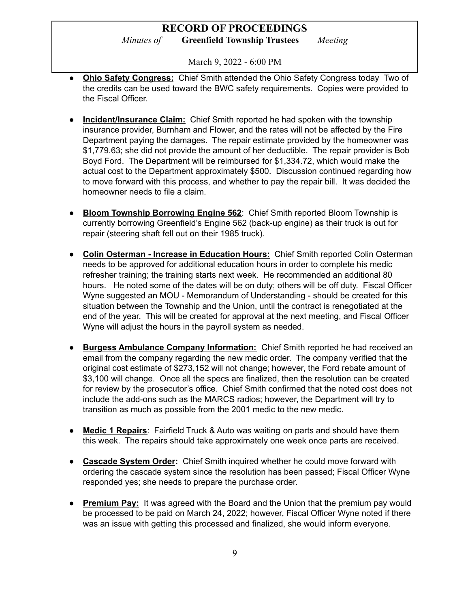*Minutes of* **Greenfield Township Trustees** *Meeting*

March 9, 2022 - 6:00 PM

- **● Ohio Safety Congress:** Chief Smith attended the Ohio Safety Congress today Two of the credits can be used toward the BWC safety requirements. Copies were provided to the Fiscal Officer.
- **● Incident/Insurance Claim:** Chief Smith reported he had spoken with the township insurance provider, Burnham and Flower, and the rates will not be affected by the Fire Department paying the damages. The repair estimate provided by the homeowner was \$1,779.63; she did not provide the amount of her deductible. The repair provider is Bob Boyd Ford. The Department will be reimbursed for \$1,334.72, which would make the actual cost to the Department approximately \$500. Discussion continued regarding how to move forward with this process, and whether to pay the repair bill. It was decided the homeowner needs to file a claim.
- **● Bloom Township Borrowing Engine 562**: Chief Smith reported Bloom Township is currently borrowing Greenfield's Engine 562 (back-up engine) as their truck is out for repair (steering shaft fell out on their 1985 truck).
- **● Colin Osterman - Increase in Education Hours:** Chief Smith reported Colin Osterman needs to be approved for additional education hours in order to complete his medic refresher training; the training starts next week. He recommended an additional 80 hours. He noted some of the dates will be on duty; others will be off duty. Fiscal Officer Wyne suggested an MOU - Memorandum of Understanding - should be created for this situation between the Township and the Union, until the contract is renegotiated at the end of the year. This will be created for approval at the next meeting, and Fiscal Officer Wyne will adjust the hours in the payroll system as needed.
- **● Burgess Ambulance Company Information:** Chief Smith reported he had received an email from the company regarding the new medic order. The company verified that the original cost estimate of \$273,152 will not change; however, the Ford rebate amount of \$3,100 will change. Once all the specs are finalized, then the resolution can be created for review by the prosecutor's office. Chief Smith confirmed that the noted cost does not include the add-ons such as the MARCS radios; however, the Department will try to transition as much as possible from the 2001 medic to the new medic.
- **Medic 1 Repairs**: Fairfield Truck & Auto was waiting on parts and should have them this week. The repairs should take approximately one week once parts are received.
- **● Cascade System Order:** Chief Smith inquired whether he could move forward with ordering the cascade system since the resolution has been passed; Fiscal Officer Wyne responded yes; she needs to prepare the purchase order.
- **● Premium Pay:** It was agreed with the Board and the Union that the premium pay would be processed to be paid on March 24, 2022; however, Fiscal Officer Wyne noted if there was an issue with getting this processed and finalized, she would inform everyone.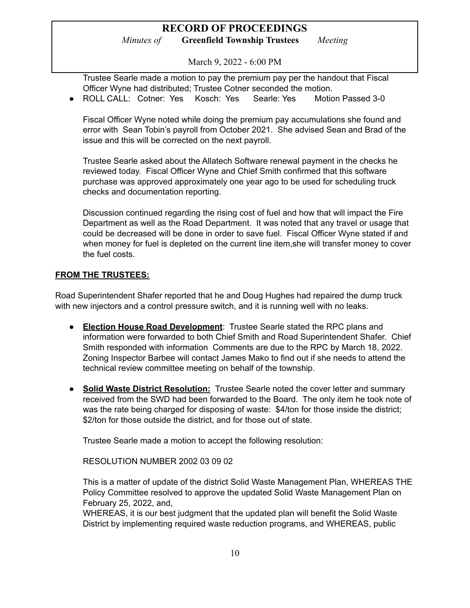### **RECORD OF PROCEEDINGS** *Minutes of* **Greenfield Township Trustees** *Meeting*

March 9, 2022 - 6:00 PM

Trustee Searle made a motion to pay the premium pay per the handout that Fiscal Officer Wyne had distributed; Trustee Cotner seconded the motion.

● ROLL CALL: Cotner: Yes Kosch: Yes Searle: Yes Motion Passed 3-0

Fiscal Officer Wyne noted while doing the premium pay accumulations she found and error with Sean Tobin's payroll from October 2021. She advised Sean and Brad of the issue and this will be corrected on the next payroll.

Trustee Searle asked about the Allatech Software renewal payment in the checks he reviewed today. Fiscal Officer Wyne and Chief Smith confirmed that this software purchase was approved approximately one year ago to be used for scheduling truck checks and documentation reporting.

Discussion continued regarding the rising cost of fuel and how that will impact the Fire Department as well as the Road Department. It was noted that any travel or usage that could be decreased will be done in order to save fuel. Fiscal Officer Wyne stated if and when money for fuel is depleted on the current line item,she will transfer money to cover the fuel costs.

#### **FROM THE TRUSTEES:**

Road Superintendent Shafer reported that he and Doug Hughes had repaired the dump truck with new injectors and a control pressure switch, and it is running well with no leaks.

- **Election House Road Development**: Trustee Searle stated the RPC plans and information were forwarded to both Chief Smith and Road Superintendent Shafer. Chief Smith responded with information Comments are due to the RPC by March 18, 2022. Zoning Inspector Barbee will contact James Mako to find out if she needs to attend the technical review committee meeting on behalf of the township.
- **● Solid Waste District Resolution:** Trustee Searle noted the cover letter and summary received from the SWD had been forwarded to the Board. The only item he took note of was the rate being charged for disposing of waste: \$4/ton for those inside the district; \$2/ton for those outside the district, and for those out of state.

Trustee Searle made a motion to accept the following resolution:

RESOLUTION NUMBER 2002 03 09 02

This is a matter of update of the district Solid Waste Management Plan, WHEREAS THE Policy Committee resolved to approve the updated Solid Waste Management Plan on February 25, 2022, and,

WHEREAS, it is our best judgment that the updated plan will benefit the Solid Waste District by implementing required waste reduction programs, and WHEREAS, public